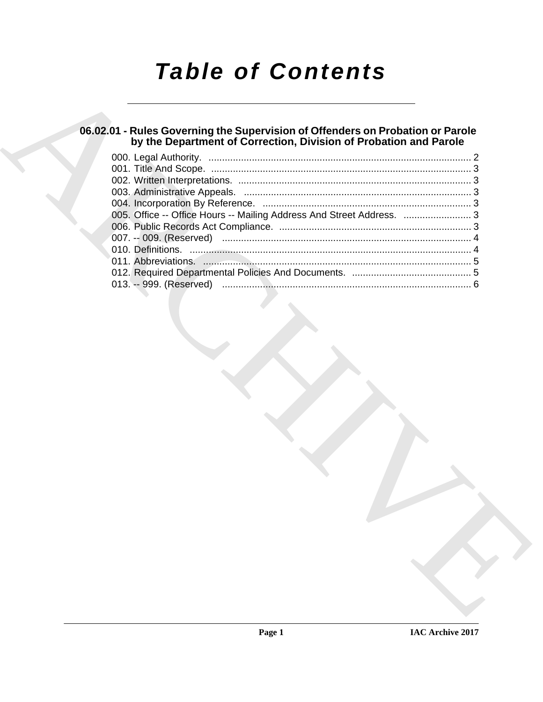# *Table of Contents*

# **06.02.01 - Rules Governing the Supervision of Offenders on Probation or Parole by the Department of Correction, Division of Probation and Parole**

|                         | 005. Office -- Office Hours -- Mailing Address And Street Address.  3 |  |
|-------------------------|-----------------------------------------------------------------------|--|
|                         |                                                                       |  |
|                         |                                                                       |  |
|                         |                                                                       |  |
| 013. -- 999. (Reserved) |                                                                       |  |
|                         |                                                                       |  |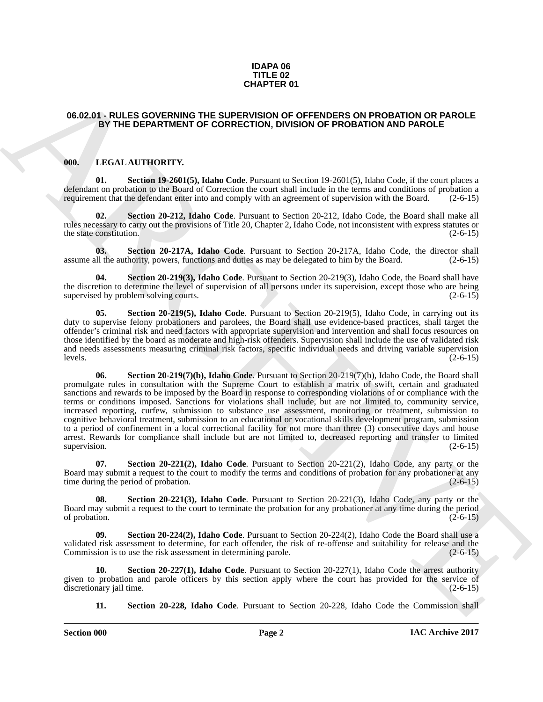### **IDAPA 06 TITLE 02 CHAPTER 01**

### <span id="page-1-0"></span>**06.02.01 - RULES GOVERNING THE SUPERVISION OF OFFENDERS ON PROBATION OR PAROLE BY THE DEPARTMENT OF CORRECTION, DIVISION OF PROBATION AND PAROLE**

### <span id="page-1-2"></span><span id="page-1-1"></span>**000. LEGAL AUTHORITY.**

<span id="page-1-3"></span>**01. Section 19-2601(5), Idaho Code**. Pursuant to Section 19-2601(5), Idaho Code, if the court places a defendant on probation to the Board of Correction the court shall include in the terms and conditions of probation a requirement that the defendant enter into and comply with an agreement of supervision with the Board. (2-6-15)

<span id="page-1-4"></span>**02. Section 20-212, Idaho Code**. Pursuant to Section 20-212, Idaho Code, the Board shall make all rules necessary to carry out the provisions of Title 20, Chapter 2, Idaho Code, not inconsistent with express statutes or the state constitution.  $(2-6-15)$ 

<span id="page-1-5"></span>**03. Section 20-217A, Idaho Code**. Pursuant to Section 20-217A, Idaho Code, the director shall assume all the authority, powers, functions and duties as may be delegated to him by the Board. (2-6-15)

<span id="page-1-6"></span>**Section 20-219(3), Idaho Code**. Pursuant to Section 20-219(3), Idaho Code, the Board shall have the discretion to determine the level of supervision of all persons under its supervision, except those who are being supervised by problem solving courts. (2-6-15)

<span id="page-1-8"></span><span id="page-1-7"></span>**Section 20-219(5), Idaho Code**. Pursuant to Section 20-219(5), Idaho Code, in carrying out its duty to supervise felony probationers and parolees, the Board shall use evidence-based practices, shall target the offender's criminal risk and need factors with appropriate supervision and intervention and shall focus resources on those identified by the board as moderate and high-risk offenders. Supervision shall include the use of validated risk and needs assessments measuring criminal risk factors, specific individual needs and driving variable supervision  $\lvert \text{levels.} \rvert$  (2-6-15)

**CHAPTER OF**<br>**CHAPTER OF CHAPTER OF CHERCHION DIVISION OF PROBATION OR PROBATION OF PRODUCTION CONTINUES (SEE THE SEE THE SEE THE SEE THE SEE THE SEE THE SEE THE SEE THE SEE THE SEE THE SEE THE SEE THE SEE THE SEE THE SEE 06. Section 20-219(7)(b), Idaho Code**. Pursuant to Section 20-219(7)(b), Idaho Code, the Board shall promulgate rules in consultation with the Supreme Court to establish a matrix of swift, certain and graduated sanctions and rewards to be imposed by the Board in response to corresponding violations of or compliance with the terms or conditions imposed. Sanctions for violations shall include, but are not limited to, community service, increased reporting, curfew, submission to substance use assessment, monitoring or treatment, submission to cognitive behavioral treatment, submission to an educational or vocational skills development program, submission to a period of confinement in a local correctional facility for not more than three (3) consecutive days and house arrest. Rewards for compliance shall include but are not limited to, decreased reporting and transfer to limited supervision.  $(2-6-15)$ 

<span id="page-1-9"></span>**07. Section 20-221(2), Idaho Code**. Pursuant to Section 20-221(2), Idaho Code, any party or the Board may submit a request to the court to modify the terms and conditions of probation for any probationer at any time during the period of probation. (2-6-15) time during the period of probation.

<span id="page-1-10"></span>**08. Section 20-221(3), Idaho Code**. Pursuant to Section 20-221(3), Idaho Code, any party or the Board may submit a request to the court to terminate the probation for any probationer at any time during the period of probation.  $(2-6-15)$ 

<span id="page-1-11"></span>**09. Section 20-224(2), Idaho Code**. Pursuant to Section 20-224(2), Idaho Code the Board shall use a validated risk assessment to determine, for each offender, the risk of re-offense and suitability for release and the Commission is to use the risk assessment in determining parole. (2-6-15)

**10. Section 20-227(1), Idaho Code**. Pursuant to Section 20-227(1), Idaho Code the arrest authority given to probation and parole officers by this section apply where the court has provided for the service of discretionary jail time. (2-6-15)

<span id="page-1-13"></span><span id="page-1-12"></span>**11. Section 20-228, Idaho Code**. Pursuant to Section 20-228, Idaho Code the Commission shall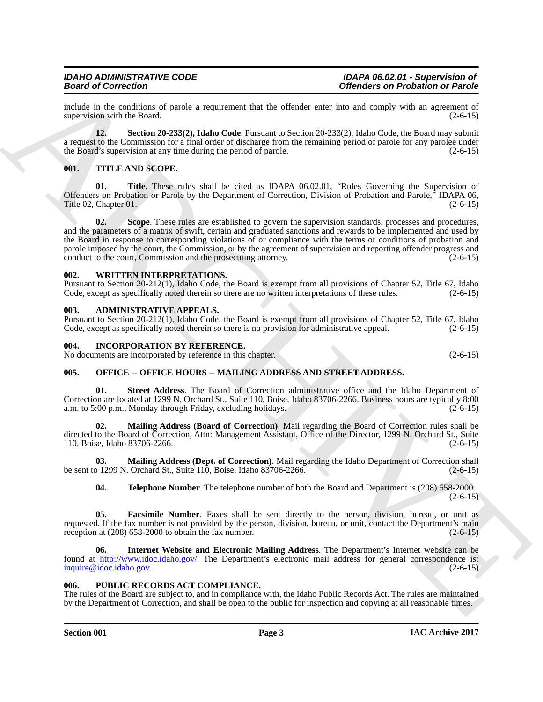include in the conditions of parole a requirement that the offender enter into and comply with an agreement of supervision with the Board.

<span id="page-2-8"></span>**12. Section 20-233(2), Idaho Code**. Pursuant to Section 20-233(2), Idaho Code, the Board may submit a request to the Commission for a final order of discharge from the remaining period of parole for any parolee under the Board's supervision at any time during the period of parole. (2-6-15)

# <span id="page-2-11"></span><span id="page-2-0"></span>**001. TITLE AND SCOPE.**

<span id="page-2-13"></span><span id="page-2-12"></span>**01. Title**. These rules shall be cited as IDAPA 06.02.01, "Rules Governing the Supervision of Offenders on Probation or Parole by the Department of Correction, Division of Probation and Parole," IDAPA 06,<br>Title 02, Chapter 01. (2-6-15) Title 02, Chapter 01.

Beatrical responses to the statement that the distribution is the statement of the statement of the statement of the statement of the statement of the statement of the statement of the statement of the statement of the st **02. Scope**. These rules are established to govern the supervision standards, processes and procedures, and the parameters of a matrix of swift, certain and graduated sanctions and rewards to be implemented and used by the Board in response to corresponding violations of or compliance with the terms or conditions of probation and parole imposed by the court, the Commission, or by the agreement of supervision and reporting offender progress and conduct to the court, Commission and the prosecuting attorney. (2-6-15) conduct to the court, Commission and the prosecuting attorney.

### <span id="page-2-14"></span><span id="page-2-1"></span>**002. WRITTEN INTERPRETATIONS.**

Pursuant to Section 20-212(1), Idaho Code, the Board is exempt from all provisions of Chapter 52, Title 67, Idaho Code, except as specifically noted therein so there are no written interpretations of these rules. (2-6-15)

### <span id="page-2-6"></span><span id="page-2-2"></span>**003. ADMINISTRATIVE APPEALS.**

Pursuant to Section 20-212(1), Idaho Code, the Board is exempt from all provisions of Chapter 52, Title 67, Idaho Code, except as specifically noted therein so there is no provision for administrative appeal. (2-6-15) Code, except as specifically noted therein so there is no provision for administrative appeal.

### <span id="page-2-7"></span><span id="page-2-3"></span>**004. INCORPORATION BY REFERENCE.**

No documents are incorporated by reference in this chapter. (2-6-15)

# <span id="page-2-9"></span><span id="page-2-4"></span>**005. OFFICE -- OFFICE HOURS -- MAILING ADDRESS AND STREET ADDRESS.**

**Street Address**. The Board of Correction administrative office and the Idaho Department of Correction are located at 1299 N. Orchard St., Suite 110, Boise, Idaho 83706-2266. Business hours are typically 8:00 a.m. to 5:00 p.m., Monday through Friday, excluding holidays.

**02. Mailing Address (Board of Correction)**. Mail regarding the Board of Correction rules shall be directed to the Board of Correction, Attn: Management Assistant, Office of the Director, 1299 N. Orchard St., Suite 110, Boise, Idaho 83706-2266. (2-6-15)

**03. Mailing Address (Dept. of Correction)**. Mail regarding the Idaho Department of Correction shall be sent to 1299 N. Orchard St., Suite 110, Boise, Idaho 83706-2266. (2-6-15)

**04. Telephone Number**. The telephone number of both the Board and Department is (208) 658-2000.  $(2-6-15)$ 

**05. Facsimile Number**. Faxes shall be sent directly to the person, division, bureau, or unit as requested. If the fax number is not provided by the person, division, bureau, or unit, contact the Department's main reception at (208) 658-2000 to obtain the fax number. (2-6-15)

**06. Internet Website and Electronic Mailing Address**. The Department's Internet website can be found at http://www.idoc.idaho.gov/. The Department's electronic mail address for general correspondence is: inquire@idoc.idaho.gov. (2-6-15)

### <span id="page-2-10"></span><span id="page-2-5"></span>**006. PUBLIC RECORDS ACT COMPLIANCE.**

The rules of the Board are subject to, and in compliance with, the Idaho Public Records Act. The rules are maintained by the Department of Correction, and shall be open to the public for inspection and copying at all reasonable times.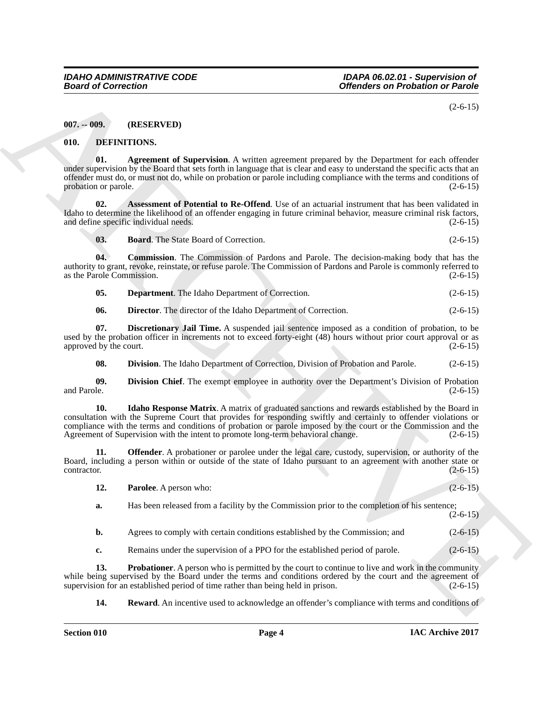$(2-6-15)$ 

### <span id="page-3-0"></span>**007. -- 009. (RESERVED)**

### <span id="page-3-2"></span><span id="page-3-1"></span>**010. DEFINITIONS.**

<span id="page-3-3"></span>**01. Agreement of Supervision**. A written agreement prepared by the Department for each offender under supervision by the Board that sets forth in language that is clear and easy to understand the specific acts that an offender must do, or must not do, while on probation or parole including compliance with the terms and conditions of probation or parole. (2-6-15)

**02.** Assessment of Potential to Re-Offend. Use of an actuarial instrument that has been validated in Idaho to determine the likelihood of an offender engaging in future criminal behavior, measure criminal risk factors, and define specific individual needs. (2-6-15)

<span id="page-3-6"></span><span id="page-3-5"></span><span id="page-3-4"></span>**03. Board**. The State Board of Correction. (2-6-15)

**04. Commission**. The Commission of Pardons and Parole. The decision-making body that has the authority to grant, revoke, reinstate, or refuse parole. The Commission of Pardons and Parole is commonly referred to as the Parole Commission. (2-6-15)

<span id="page-3-8"></span><span id="page-3-7"></span>**05. Department**. The Idaho Department of Correction. (2-6-15)

<span id="page-3-9"></span>**06. Director**. The director of the Idaho Department of Correction. (2-6-15)

**07. Discretionary Jail Time.** A suspended jail sentence imposed as a condition of probation, to be used by the probation officer in increments not to exceed forty-eight (48) hours without prior court approval or as approved by the court. (2-6-15)

<span id="page-3-12"></span><span id="page-3-11"></span><span id="page-3-10"></span>**08. Division**. The Idaho Department of Correction, Division of Probation and Parole. (2-6-15)

**09.** Division Chief. The exempt employee in authority over the Department's Division of Probation and Parole. (2-6-15) and Parole. (2-6-15) (2-6-15)

**Example of Correction**<br> **Correction** (SPSERVENT)<br> **CORRECT (SPSERVENT)**<br> **CORRECT (SPSERVENT)**<br> **CORRECT (SPSERVENT)**<br> **CORRECT (SPSERVENT)**<br> **CORRECT (SPSERVENT)**<br> **CORRECT (SPSERVENT)**<br> **CORRECT (SPSERVENT)**<br> **CORRECT 10.** Idaho Response Matrix. A matrix of graduated sanctions and rewards established by the Board in consultation with the Supreme Court that provides for responding swiftly and certainly to offender violations or compliance with the terms and conditions of probation or parole imposed by the court or the Commission and the Agreement of Supervision with the intent to promote long-term behavioral change. (2-6-15)

**11. Offender**. A probationer or parolee under the legal care, custody, supervision, or authority of the Board, including a person within or outside of the state of Idaho pursuant to an agreement with another state or contractor. (2-6-15) contractor. (2-6-15)

<span id="page-3-14"></span><span id="page-3-13"></span>

| 12. | <b>Parolee.</b> A person who:                                                                | $(2-6-15)$ |
|-----|----------------------------------------------------------------------------------------------|------------|
| а.  | Has been released from a facility by the Commission prior to the completion of his sentence; | $(2-6-15)$ |

**b.** Agrees to comply with certain conditions established by the Commission; and (2-6-15)

<span id="page-3-15"></span>**c.** Remains under the supervision of a PPO for the established period of parole. (2-6-15)

**13. Probationer**. A person who is permitted by the court to continue to live and work in the community while being supervised by the Board under the terms and conditions ordered by the court and the agreement of supervision for an established period of time rather than being held in prison. (2-6-15) supervision for an established period of time rather than being held in prison.

<span id="page-3-16"></span>**14. Reward**. An incentive used to acknowledge an offender's compliance with terms and conditions of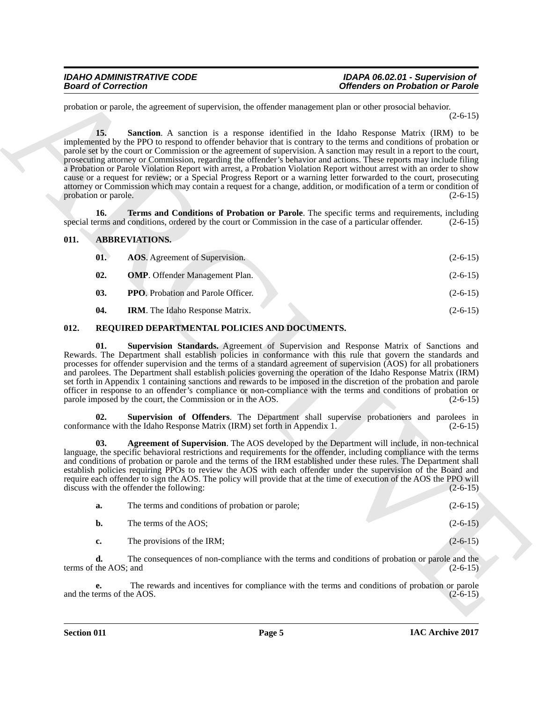### *IDAHO ADMINISTRATIVE CODE IDAPA 06.02.01 - Supervision of*  **Offenders on Probation or Parole**

<span id="page-4-7"></span>probation or parole, the agreement of supervision, the offender management plan or other prosocial behavior.  $(2-6-15)$ 

Bearing of Correction<br>
production and sequences of *Division* and *Sheeting* controlled and *Sheeting* and *Sheeting* Alattic (18.1)<br>
and the station of *Sheeting* A seasible is a response identified in the labor Research **15. Sanction**. A sanction is a response identified in the Idaho Response Matrix (IRM) to be implemented by the PPO to respond to offender behavior that is contrary to the terms and conditions of probation or parole set by the court or Commission or the agreement of supervision. A sanction may result in a report to the court, prosecuting attorney or Commission, regarding the offender's behavior and actions. These reports may include filing a Probation or Parole Violation Report with arrest, a Probation Violation Report without arrest with an order to show cause or a request for review; or a Special Progress Report or a warning letter forwarded to the court, prosecuting attorney or Commission which may contain a request for a change, addition, or modification of a term or condition of probation or parole. (2-6-15)

**16. Terms and Conditions of Probation or Parole**. The specific terms and requirements, including erms and conditions, ordered by the court or Commission in the case of a particular offender. (2-6-15) special terms and conditions, ordered by the court or Commission in the case of a particular offender.

### <span id="page-4-0"></span>**011. ABBREVIATIONS.**

<span id="page-4-8"></span><span id="page-4-6"></span><span id="page-4-5"></span><span id="page-4-4"></span><span id="page-4-3"></span><span id="page-4-2"></span>

| 01. | <b>AOS.</b> Agreement of Supervision.     | $(2-6-15)$ |
|-----|-------------------------------------------|------------|
| 02. | <b>OMP.</b> Offender Management Plan.     | $(2-6-15)$ |
| 03. | <b>PPO.</b> Probation and Parole Officer. | $(2-6-15)$ |
| 04. | <b>IRM.</b> The Idaho Response Matrix.    | $(2-6-15)$ |

### <span id="page-4-9"></span><span id="page-4-1"></span>**012. REQUIRED DEPARTMENTAL POLICIES AND DOCUMENTS.**

<span id="page-4-12"></span>**01. Supervision Standards.** Agreement of Supervision and Response Matrix of Sanctions and Rewards. The Department shall establish policies in conformance with this rule that govern the standards and processes for offender supervision and the terms of a standard agreement of supervision (AOS) for all probationers and parolees. The Department shall establish policies governing the operation of the Idaho Response Matrix (IRM) set forth in Appendix 1 containing sanctions and rewards to be imposed in the discretion of the probation and parole officer in response to an offender's compliance or non-compliance with the terms and conditions of probation or parole imposed by the court, the Commission or in the AOS. (2-6-15)

<span id="page-4-11"></span>**02. Supervision of Offenders**. The Department shall supervise probationers and parolees in conformance with the Idaho Response Matrix (IRM) set forth in Appendix 1. (2-6-15)

<span id="page-4-10"></span>**03. Agreement of Supervision**. The AOS developed by the Department will include, in non-technical language, the specific behavioral restrictions and requirements for the offender, including compliance with the terms and conditions of probation or parole and the terms of the IRM established under these rules. The Department shall establish policies requiring PPOs to review the AOS with each offender under the supervision of the Board and require each offender to sign the AOS. The policy will provide that at the time of execution of the AOS the PPO will discuss with the offender the following: (2-6-15)

| a.          | The terms and conditions of probation or parole; | $(2-6-15)$ |
|-------------|--------------------------------------------------|------------|
| b.          | The terms of the AOS;                            | $(2-6-15)$ |
| $c_{\cdot}$ | The provisions of the IRM;                       | $(2-6-15)$ |

**d.** The consequences of non-compliance with the terms and conditions of probation or parole and the terms of the AOS; and  $(2-6-15)$ 

**e.** The rewards and incentives for compliance with the terms and conditions of probation or parole erms of the AOS. (2-6-15) and the terms of the AOS.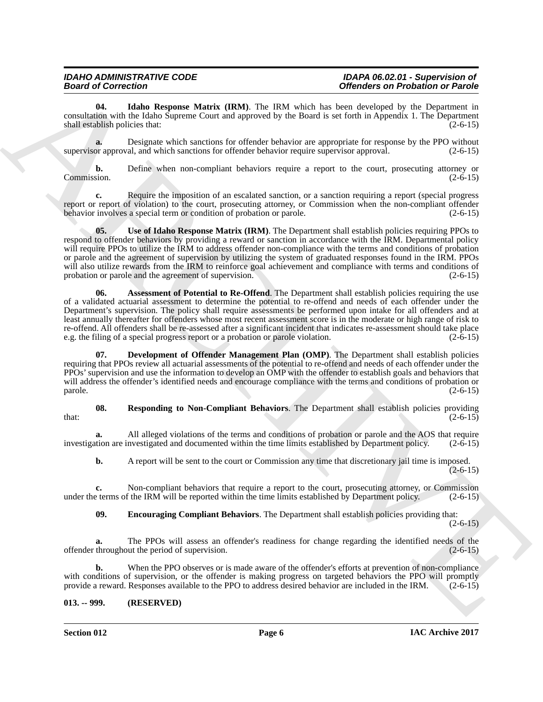### *IDAHO ADMINISTRATIVE CODE IDAPA 06.02.01 - Supervision of Offenders on Probation or Parole*

<span id="page-5-6"></span>**04. Idaho Response Matrix (IRM)**. The IRM which has been developed by the Department in consultation with the Idaho Supreme Court and approved by the Board is set forth in Appendix 1. The Department shall establish policies that: (2-6-15)

**a.** Designate which sanctions for offender behavior are appropriate for response by the PPO without supervisor approval, and which sanctions for offender behavior require supervisor approval. (2-6-15)

**b.** Define when non-compliant behaviors require a report to the court, prosecuting attorney or Commission. (2-6-15) Commission. (2-6-15)

<span id="page-5-5"></span>**c.** Require the imposition of an escalated sanction, or a sanction requiring a report (special progress report or report of violation) to the court, prosecuting attorney, or Commission when the non-compliant offender<br>behavior involves a special term or condition of probation or parole. (2-6-15) behavior involves a special term or condition of probation or parole.

Beared of Convention. The matter of the Matthews Convention of the Matthews Convention of the Matthews Convention of the Matthews Convention of the Matthews Convention of the Matthews Convention of the Matthews Convention **05.** Use of Idaho Response Matrix (IRM). The Department shall establish policies requiring PPOs to respond to offender behaviors by providing a reward or sanction in accordance with the IRM. Departmental policy will require PPOs to utilize the IRM to address offender non-compliance with the terms and conditions of probation or parole and the agreement of supervision by utilizing the system of graduated responses found in the IRM. PPOs will also utilize rewards from the IRM to reinforce goal achievement and compliance with terms and conditions of probation or parole and the agreement of supervision. (2-6-15)

<span id="page-5-1"></span>**06.** Assessment of Potential to Re-Offend. The Department shall establish policies requiring the use of a validated actuarial assessment to determine the potential to re-offend and needs of each offender under the Department's supervision. The policy shall require assessments be performed upon intake for all offenders and at least annually thereafter for offenders whose most recent assessment score is in the moderate or high range of risk to re-offend. All offenders shall be re-assessed after a significant incident that indicates re-assessment should take place e.g. the filing of a special progress report or a probation or parole violation. (2-6-15) e.g. the filing of a special progress report or a probation or parole violation.

<span id="page-5-2"></span>**Development of Offender Management Plan (OMP)**. The Department shall establish policies requiring that PPOs review all actuarial assessments of the potential to re-offend and needs of each offender under the PPOs' supervision and use the information to develop an OMP with the offender to establish goals and behaviors that will address the offender's identified needs and encourage compliance with the terms and conditions of probation or  $p^2$  parole.  $(2-6-15)$ 

<span id="page-5-4"></span>**08. Responding to Non-Compliant Behaviors**. The Department shall establish policies providing  $\text{that:} \tag{2-6-15}$ 

**a.** All alleged violations of the terms and conditions of probation or parole and the AOS that require investigation are investigated and documented within the time limits established by Department policy. (2-6-15)

**b.** A report will be sent to the court or Commission any time that discretionary jail time is imposed.  $(2-6-15)$ 

**c.** Non-compliant behaviors that require a report to the court, prosecuting attorney, or Commission under the terms of the IRM will be reported within the time limits established by Department policy. (2-6-15)

<span id="page-5-3"></span>**09. Encouraging Compliant Behaviors**. The Department shall establish policies providing that:

 $(2-6-15)$ 

**a.** The PPOs will assess an offender's readiness for change regarding the identified needs of the throughout the period of supervision. (2-6-15) offender throughout the period of supervision.

**b.** When the PPO observes or is made aware of the offender's efforts at prevention of non-compliance with conditions of supervision, or the offender is making progress on targeted behaviors the PPO will promptly provide a reward. Responses available to the PPO to address desired behavior are included in the IRM. (2-6-15)

# <span id="page-5-0"></span>**013. -- 999. (RESERVED)**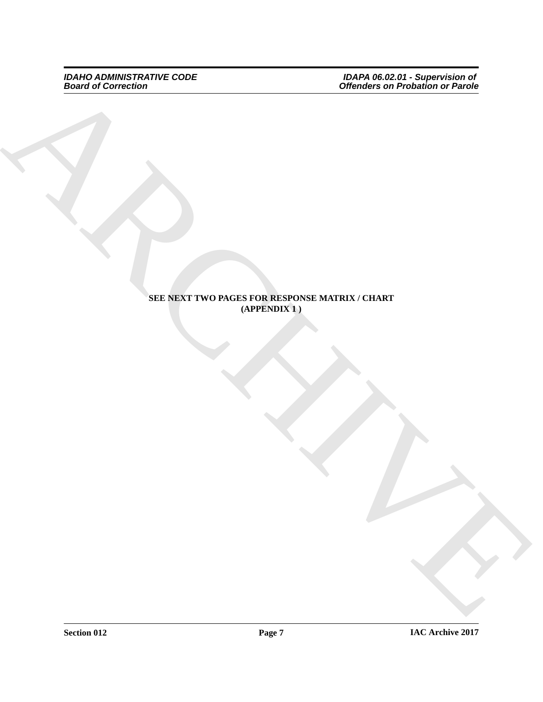*IDAHO ADMINISTRATIVE CODE IDAPA 06.02.01 - Supervision of Board of Correction Offenders on Probation or Parole*

# ARCHIVE **SEE NEXT TWO PAGES FOR RESPONSE MATRIX / CHART (APPENDIX 1 )**

**Section 012 Page 7**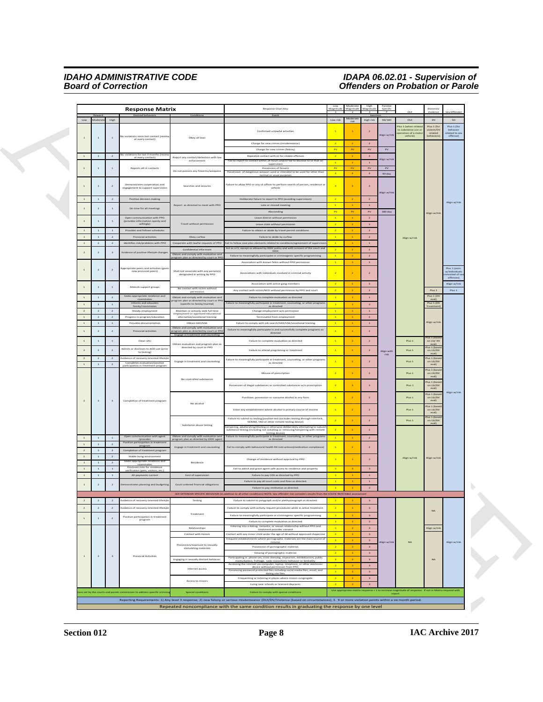# *IDAHO ADMINISTRATIVE CODE IDAPA 06.02.01 - Supervision of Board of Correction Offenders on Probation or Parole*

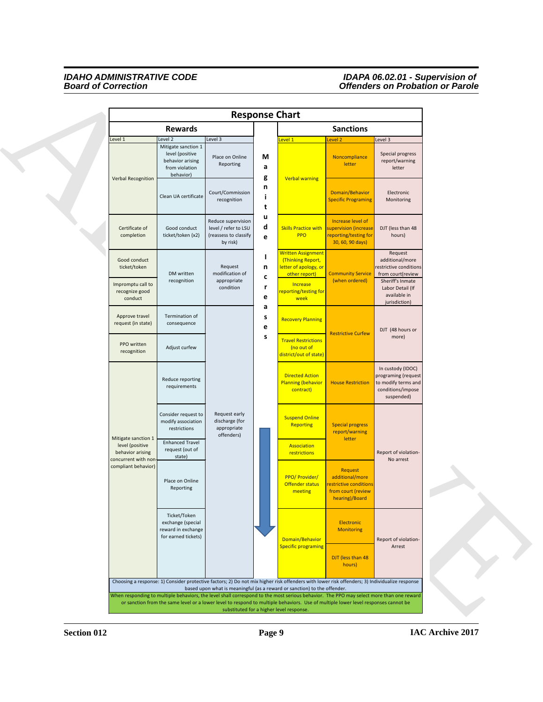### *IDAHO ADMINISTRATIVE CODE IDAPA 06.02.01 - Supervision of Board of Correction Offenders on Probation or Parole*

| <b>Response Chart</b>                                                                                                                                                                           |                                                                                               |                                                                                 |                                                              |                                                                                                      |                                                                                        |                                                                                                    |
|-------------------------------------------------------------------------------------------------------------------------------------------------------------------------------------------------|-----------------------------------------------------------------------------------------------|---------------------------------------------------------------------------------|--------------------------------------------------------------|------------------------------------------------------------------------------------------------------|----------------------------------------------------------------------------------------|----------------------------------------------------------------------------------------------------|
| <b>Rewards</b>                                                                                                                                                                                  |                                                                                               |                                                                                 |                                                              | <b>Sanctions</b>                                                                                     |                                                                                        |                                                                                                    |
| Level 1                                                                                                                                                                                         | Level 2                                                                                       | Level 3                                                                         |                                                              | evel 1                                                                                               | Level <sub>2</sub>                                                                     | Level 3                                                                                            |
| <b>Verbal Recognition</b>                                                                                                                                                                       | Mitigate sanction 1<br>level (positive<br>behavior arising<br>from violation<br>behavior)     | Place on Online<br>Reporting                                                    | M<br>a<br>g                                                  | <b>Verbal warning</b>                                                                                | Noncompliance<br>letter                                                                | Special progress<br>report/warning<br>letter                                                       |
|                                                                                                                                                                                                 | Clean UA certificate                                                                          | Court/Commission<br>recognition                                                 | n<br>-1<br>t                                                 |                                                                                                      | Domain/Behavior<br><b>Specific Programing</b>                                          | Electronic<br>Monitoring                                                                           |
| Certificate of<br>completion                                                                                                                                                                    | Good conduct<br>ticket/token (x2)                                                             | Reduce supervision<br>level / refer to LSU<br>(reassess to classify<br>by risk) | u<br>d<br>e                                                  | <b>Skills Practice with</b><br>PPO                                                                   | Increase level of<br>upervision (increase<br>reporting/testing for<br>30, 60, 90 days) | DJT (less than 48<br>hours)                                                                        |
| Good conduct<br>ticket/token<br>Impromptu call to                                                                                                                                               | DM written<br>recognition                                                                     | Request<br>modification of<br>appropriate                                       | H<br>n<br>$\mathbf c$                                        | <b>Written Assignment</b><br>(Thinking Report,<br>letter of apology, or<br>other report)<br>Increase | <b>Community Service</b><br>(when ordered)                                             | Request<br>additional/more<br>estrictive conditions<br>from court(review<br>Sheriff's Inmate       |
| recognize good<br>conduct                                                                                                                                                                       |                                                                                               | condition                                                                       | r<br>e                                                       | eporting/testing for<br>week                                                                         |                                                                                        | Labor Detail (If<br>available in<br>jurisdiction)                                                  |
| Approve travel<br>request (in state)                                                                                                                                                            | Termination of<br>consequence                                                                 |                                                                                 | a<br>S<br>e                                                  | <b>Recovery Planning</b>                                                                             | <b>Restrictive Curfew</b>                                                              | DJT (48 hours or                                                                                   |
| PPO written<br>recognition                                                                                                                                                                      | Adjust curfew                                                                                 |                                                                                 | s                                                            | <b>Travel Restrictions</b><br>(no out of<br>district/out of state)                                   |                                                                                        | more)                                                                                              |
|                                                                                                                                                                                                 | Reduce reporting<br>requirements<br>Consider request to<br>modify association<br>restrictions |                                                                                 |                                                              | <b>Directed Action</b><br><b>Planning (behavior</b><br>contract)                                     | <b>House Restriction</b>                                                               | In custody (IDOC)<br>programing (request<br>to modify terms and<br>conditions/impose<br>suspended) |
|                                                                                                                                                                                                 |                                                                                               |                                                                                 | Request early<br>discharge (for<br>appropriate<br>offenders) |                                                                                                      | <b>Suspend Online</b><br>Reporting                                                     | <b>Special progress</b><br>report/warning                                                          |
| Mitigate sanction 1<br><b>Enhanced Travel</b><br>level (positive<br>request (out of<br>behavior arising<br>state)<br>concurrent with non<br>compliant behavior)<br>Place on Online<br>Reporting |                                                                                               |                                                                                 |                                                              | <b>Association</b><br>restrictions                                                                   | letter                                                                                 | Report of violation-<br>No arrest                                                                  |
|                                                                                                                                                                                                 |                                                                                               |                                                                                 | <b>PPO/ Provider/</b><br>Offender status<br>meeting          | Request<br>additional/more<br>restrictive conditions<br>from court (review<br>hearing)/Board         |                                                                                        |                                                                                                    |
|                                                                                                                                                                                                 | Ticket/Token<br>exchange (special<br>reward in exchange<br>for earned tickets)                |                                                                                 |                                                              | Domain/Behavior<br><b>Specific programing</b>                                                        | Electronic<br><b>Monitoring</b>                                                        | Report of violation-<br>Arrest                                                                     |
|                                                                                                                                                                                                 |                                                                                               |                                                                                 |                                                              |                                                                                                      | DJT (less than 48<br>hours)                                                            |                                                                                                    |